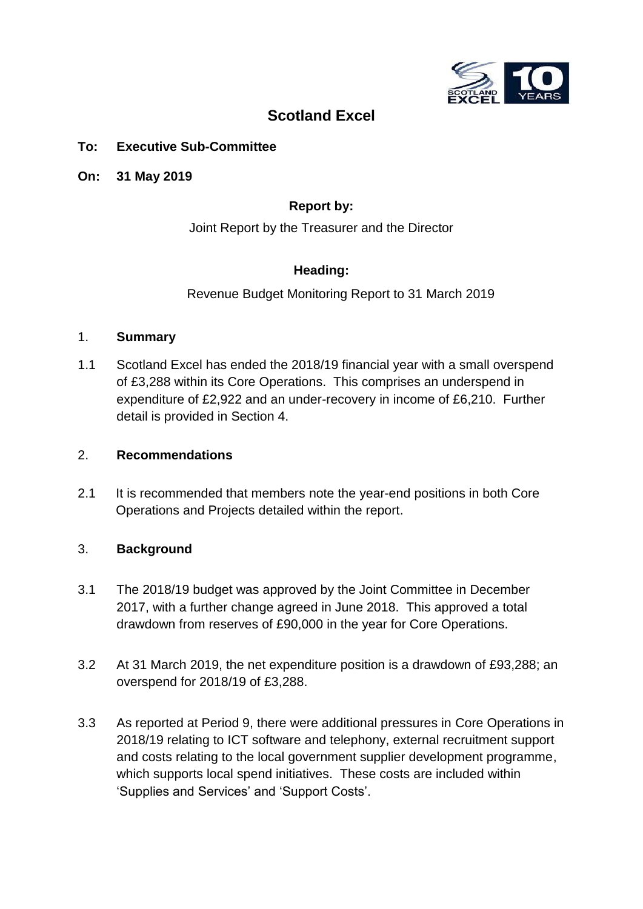

# **Scotland Excel**

## **To: Executive Sub-Committee**

**On: 31 May 2019**

## **Report by:**

Joint Report by the Treasurer and the Director

## **Heading:**

Revenue Budget Monitoring Report to 31 March 2019

#### 1. **Summary**

1.1 Scotland Excel has ended the 2018/19 financial year with a small overspend of £3,288 within its Core Operations. This comprises an underspend in expenditure of £2,922 and an under-recovery in income of £6,210. Further detail is provided in Section 4.

### 2. **Recommendations**

2.1 It is recommended that members note the year-end positions in both Core Operations and Projects detailed within the report.

## 3. **Background**

- 3.1 The 2018/19 budget was approved by the Joint Committee in December 2017, with a further change agreed in June 2018. This approved a total drawdown from reserves of £90,000 in the year for Core Operations.
- 3.2 At 31 March 2019, the net expenditure position is a drawdown of £93,288; an overspend for 2018/19 of £3,288.
- 3.3 As reported at Period 9, there were additional pressures in Core Operations in 2018/19 relating to ICT software and telephony, external recruitment support and costs relating to the local government supplier development programme, which supports local spend initiatives. These costs are included within 'Supplies and Services' and 'Support Costs'.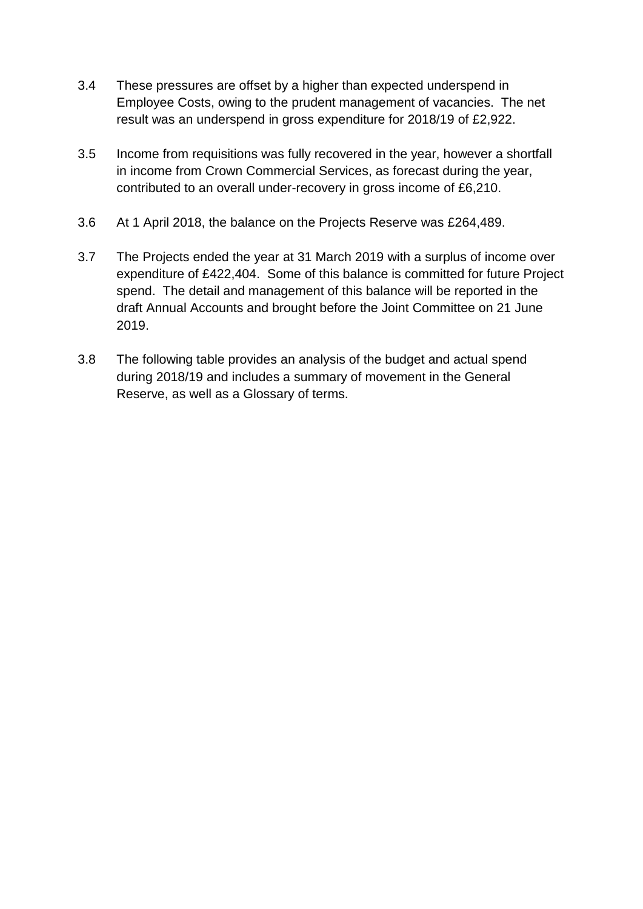- 3.4 These pressures are offset by a higher than expected underspend in Employee Costs, owing to the prudent management of vacancies. The net result was an underspend in gross expenditure for 2018/19 of £2,922.
- 3.5 Income from requisitions was fully recovered in the year, however a shortfall in income from Crown Commercial Services, as forecast during the year, contributed to an overall under-recovery in gross income of £6,210.
- 3.6 At 1 April 2018, the balance on the Projects Reserve was £264,489.
- 3.7 The Projects ended the year at 31 March 2019 with a surplus of income over expenditure of £422,404. Some of this balance is committed for future Project spend. The detail and management of this balance will be reported in the draft Annual Accounts and brought before the Joint Committee on 21 June 2019.
- 3.8 The following table provides an analysis of the budget and actual spend during 2018/19 and includes a summary of movement in the General Reserve, as well as a Glossary of terms.